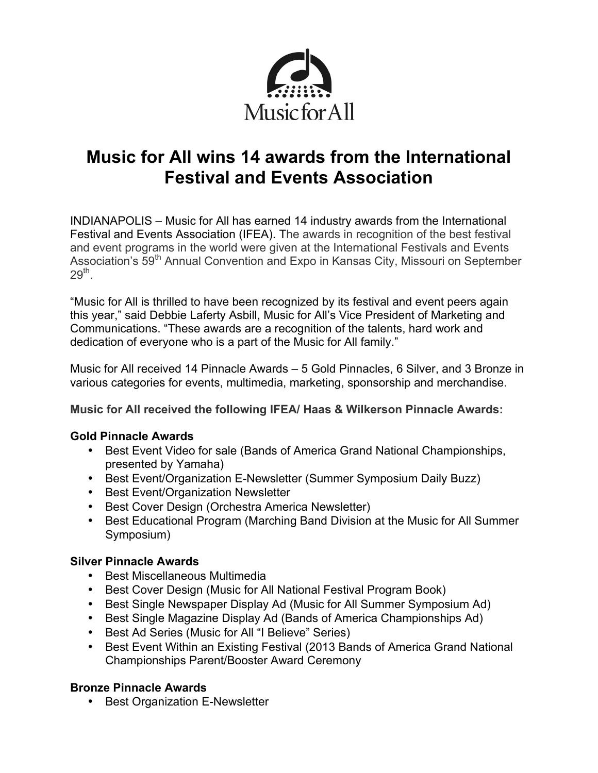

# **Music for All wins 14 awards from the International Festival and Events Association**

INDIANAPOLIS – Music for All has earned 14 industry awards from the International Festival and Events Association (IFEA). The awards in recognition of the best festival and event programs in the world were given at the International Festivals and Events Association's 59<sup>th</sup> Annual Convention and Expo in Kansas City, Missouri on September  $29<sup>th</sup>$ .

"Music for All is thrilled to have been recognized by its festival and event peers again this year," said Debbie Laferty Asbill, Music for All's Vice President of Marketing and Communications. "These awards are a recognition of the talents, hard work and dedication of everyone who is a part of the Music for All family."

Music for All received 14 Pinnacle Awards – 5 Gold Pinnacles, 6 Silver, and 3 Bronze in various categories for events, multimedia, marketing, sponsorship and merchandise.

**Music for All received the following IFEA/ Haas & Wilkerson Pinnacle Awards:** 

## **Gold Pinnacle Awards**

- Best Event Video for sale (Bands of America Grand National Championships, presented by Yamaha)
- Best Event/Organization E-Newsletter (Summer Symposium Daily Buzz)
- Best Event/Organization Newsletter
- Best Cover Design (Orchestra America Newsletter)
- Best Educational Program (Marching Band Division at the Music for All Summer Symposium)

# **Silver Pinnacle Awards**

- Best Miscellaneous Multimedia
- Best Cover Design (Music for All National Festival Program Book)
- Best Single Newspaper Display Ad (Music for All Summer Symposium Ad)
- Best Single Magazine Display Ad (Bands of America Championships Ad)
- Best Ad Series (Music for All "I Believe" Series)
- Best Event Within an Existing Festival (2013 Bands of America Grand National Championships Parent/Booster Award Ceremony

# **Bronze Pinnacle Awards**

• Best Organization E-Newsletter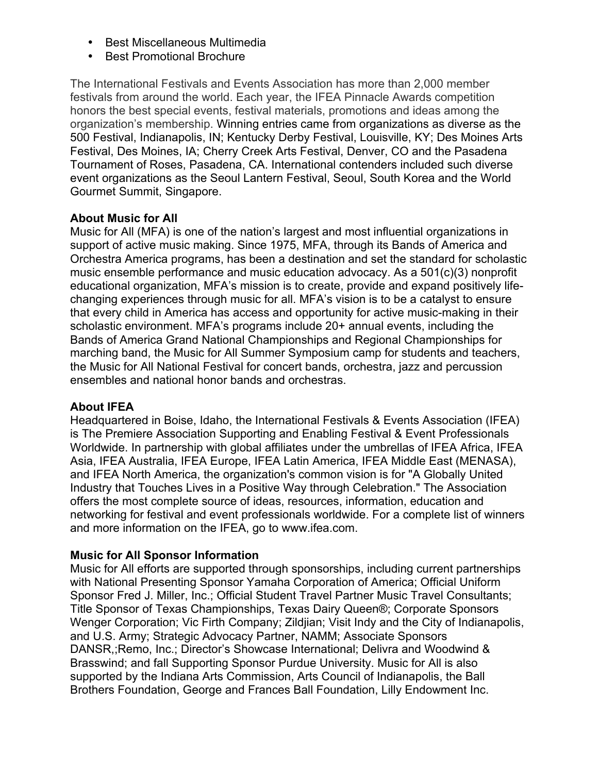- Best Miscellaneous Multimedia
- Best Promotional Brochure

The International Festivals and Events Association has more than 2,000 member festivals from around the world. Each year, the IFEA Pinnacle Awards competition honors the best special events, festival materials, promotions and ideas among the organization's membership. Winning entries came from organizations as diverse as the 500 Festival, Indianapolis, IN; Kentucky Derby Festival, Louisville, KY; Des Moines Arts Festival, Des Moines, IA; Cherry Creek Arts Festival, Denver, CO and the Pasadena Tournament of Roses, Pasadena, CA. International contenders included such diverse event organizations as the Seoul Lantern Festival, Seoul, South Korea and the World Gourmet Summit, Singapore.

## **About Music for All**

Music for All (MFA) is one of the nation's largest and most influential organizations in support of active music making. Since 1975, MFA, through its Bands of America and Orchestra America programs, has been a destination and set the standard for scholastic music ensemble performance and music education advocacy. As a 501(c)(3) nonprofit educational organization, MFA's mission is to create, provide and expand positively lifechanging experiences through music for all. MFA's vision is to be a catalyst to ensure that every child in America has access and opportunity for active music-making in their scholastic environment. MFA's programs include 20+ annual events, including the Bands of America Grand National Championships and Regional Championships for marching band, the Music for All Summer Symposium camp for students and teachers, the Music for All National Festival for concert bands, orchestra, jazz and percussion ensembles and national honor bands and orchestras.

#### **About IFEA**

Headquartered in Boise, Idaho, the International Festivals & Events Association (IFEA) is The Premiere Association Supporting and Enabling Festival & Event Professionals Worldwide. In partnership with global affiliates under the umbrellas of IFEA Africa, IFEA Asia, IFEA Australia, IFEA Europe, IFEA Latin America, IFEA Middle East (MENASA), and IFEA North America, the organization's common vision is for "A Globally United Industry that Touches Lives in a Positive Way through Celebration." The Association offers the most complete source of ideas, resources, information, education and networking for festival and event professionals worldwide. For a complete list of winners and more information on the IFEA, go to www.ifea.com.

## **Music for All Sponsor Information**

Music for All efforts are supported through sponsorships, including current partnerships with National Presenting Sponsor Yamaha Corporation of America; Official Uniform Sponsor Fred J. Miller, Inc.; Official Student Travel Partner Music Travel Consultants; Title Sponsor of Texas Championships, Texas Dairy Queen®; Corporate Sponsors Wenger Corporation; Vic Firth Company; Zildjian; Visit Indy and the City of Indianapolis, and U.S. Army; Strategic Advocacy Partner, NAMM; Associate Sponsors DANSR,;Remo, Inc.; Director's Showcase International; Delivra and Woodwind & Brasswind; and fall Supporting Sponsor Purdue University. Music for All is also supported by the Indiana Arts Commission, Arts Council of Indianapolis, the Ball Brothers Foundation, George and Frances Ball Foundation, Lilly Endowment Inc.